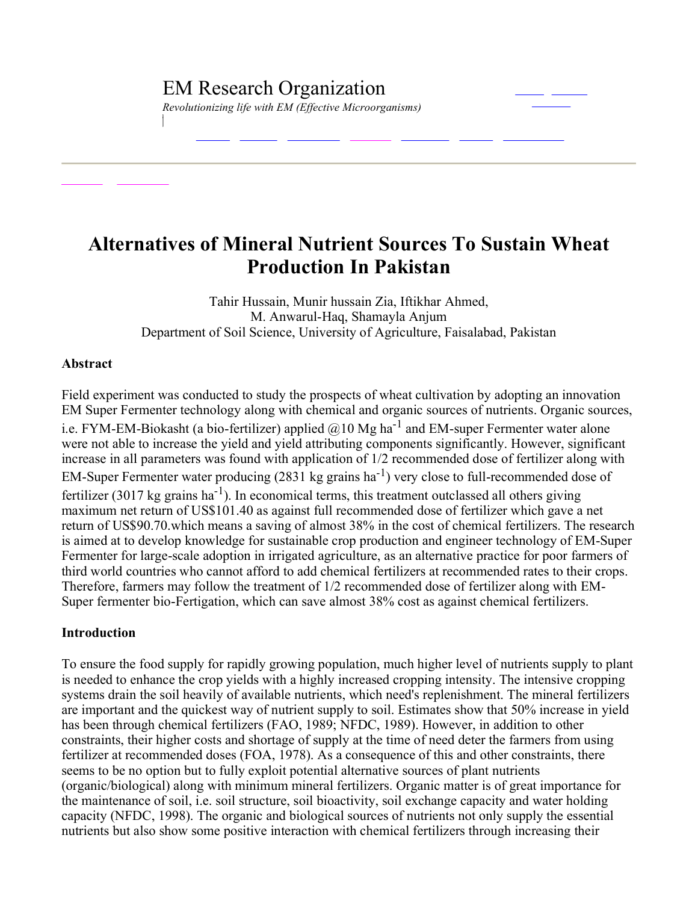*Revolutionizing life with EM (Effective Microorganisms)*

# **Alternatives of Mineral Nutrient Sources To Sustain Wheat Production In Pakistan**

Tahir Hussain, Munir hussain Zia, Iftikhar Ahmed, M. Anwarul-Haq, Shamayla Anjum Department of Soil Science, University of Agriculture, Faisalabad, Pakistan

#### **Abstract**

Field experiment was conducted to study the prospects of wheat cultivation by adopting an innovation EM Super Fermenter technology along with chemical and organic sources of nutrients. Organic sources, i.e. FYM-EM-Biokasht (a bio-fertilizer) applied  $@10$  Mg ha<sup>-1</sup> and EM-super Fermenter water alone were not able to increase the yield and yield attributing components significantly. However, significant increase in all parameters was found with application of 1/2 recommended dose of fertilizer along with EM-Super Fermenter water producing  $(2831 \text{ kg} \text{ grains ha}^{-1})$  very close to full-recommended dose of fertilizer (3017 kg grains ha<sup>-1</sup>). In economical terms, this treatment outclassed all others giving maximum net return of US\$101.40 as against full recommended dose of fertilizer which gave a net return of US\$90.70.which means a saving of almost 38% in the cost of chemical fertilizers. The research is aimed at to develop knowledge for sustainable crop production and engineer technology of EM-Super Fermenter for large-scale adoption in irrigated agriculture, as an alternative practice for poor farmers of third world countries who cannot afford to add chemical fertilizers at recommended rates to their crops. Therefore, farmers may follow the treatment of 1/2 recommended dose of fertilizer along with EM Super fermenter bio-Fertigation, which can save almost 38% cost as against chemical fertilizers.

## **Introduction**

To ensure the food supply for rapidly growing population, much higher level of nutrients supply to plant is needed to enhance the crop yields with a highly increased cropping intensity. The intensive cropping systems drain the soil heavily of available nutrients, which need's replenishment. The mineral fertilizers are important and the quickest way of nutrient supply to soil. Estimates show that 50% increase in yield has been through chemical fertilizers (FAO, 1989; NFDC, 1989). However, in addition to other constraints, their higher costs and shortage of supply at the time of need deter the farmers from using fertilizer at recommended doses (FOA, 1978). As a consequence of this and other constraints, there seems to be no option but to fully exploit potential alternative sources of plant nutrients (organic/biological) along with minimum mineral fertilizers. Organic matter is of great importance for the maintenance of soil, i.e. soil structure, soil bioactivity, soil exchange capacity and water holding capacity (NFDC, 1998). The organic and biological sources of nutrients not only supply the essential nutrients but also show some positive interaction with chemical fertilizers through increasing their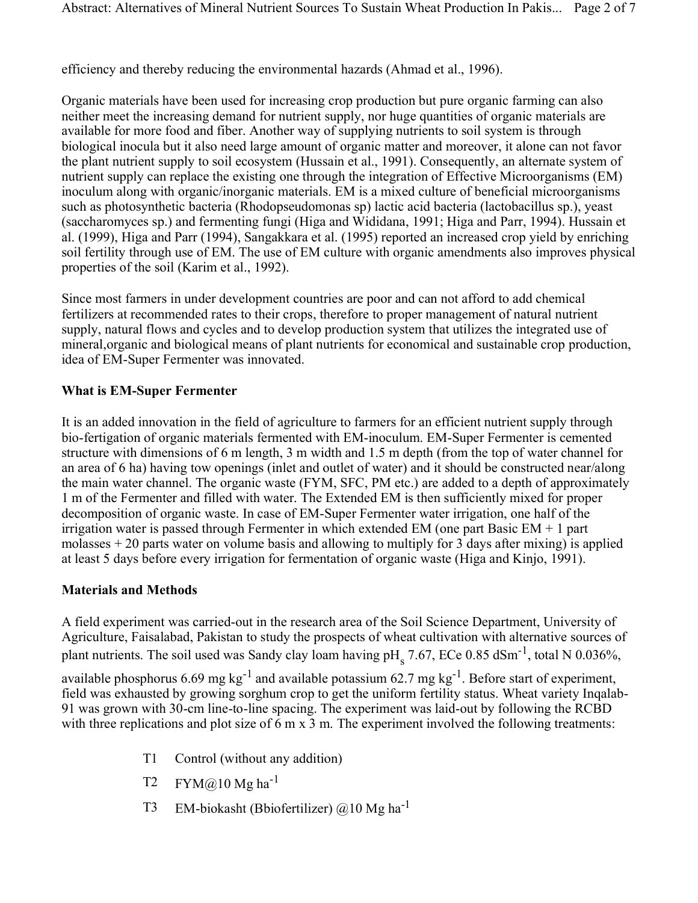efficiency and thereby reducing the environmental hazards (Ahmad et al., 1996).

Organic materials have been used for increasing crop production but pure organic farming can also neither meet the increasing demand for nutrient supply, nor huge quantities of organic materials are available for more food and fiber. Another way of supplying nutrients to soil system is through biological inocula but it also need large amount of organic matter and moreover, it alone can not favor the plant nutrient supply to soil ecosystem (Hussain et al., 1991). Consequently, an alternate system of nutrient supply can replace the existing one through the integration of Effective Microorganisms (EM) inoculum along with organic/inorganic materials. EM is a mixed culture of beneficial microorganisms such as photosynthetic bacteria (Rhodopseudomonas sp) lactic acid bacteria (lactobacillus sp.), yeast (saccharomyces sp.) and fermenting fungi (Higa and Wididana, 1991; Higa and Parr, 1994). Hussain et al. (1999), Higa and Parr (1994), Sangakkara et al. (1995) reported an increased crop yield by enriching soil fertility through use of EM. The use of EM culture with organic amendments also improves physical properties of the soil (Karim et al., 1992).

Since most farmers in under development countries are poor and can not afford to add chemical fertilizers at recommended rates to their crops, therefore to proper management of natural nutrient supply, natural flows and cycles and to develop production system that utilizes the integrated use of mineral,organic and biological means of plant nutrients for economical and sustainable crop production, idea of EM-Super Fermenter was innovated.

# **What** is **EM-Super Fermenter**

It is an added innovation in the field of agriculture to farmers for an efficient nutrient supply through bio-fertigation of organic materials fermented with EM-inoculum. EM-Super Fermenter is cemented structure with dimensions of 6 m length, 3 m width and 1.5 m depth (from the top of water channel for an area of 6 ha) having tow openings (inlet and outlet of water) and it should be constructed near/along the main water channel. The organic waste (FYM, SFC, PM etc.) are added to a depth of approximately 1 m of the Fermenter and filled with water. The Extended EM is then sufficiently mixed for proper decomposition of organic waste. In case of EM-Super Fermenter water irrigation, one half of the irrigation water is passed through Fermenter in which extended EM (one part Basic EM + 1 part molasses + 20 parts water on volume basis and allowing to multiply for 3 days after mixing) is applied at least 5 days before every irrigation for fermentation of organic waste (Higa and Kinjo, 1991).

## **Materials and Methods**

A field experiment was carried-out in the research area of the Soil Science Department, University of Agriculture, Faisalabad, Pakistan to study the prospects of wheat cultivation with alternative sources of plant nutrients. The soil used was Sandy clay loam having  $pH_s$  7.67, ECe 0.85 dSm<sup>-1</sup>, total N 0.036%,

available phosphorus 6.69 mg  $kg^{-1}$  and available potassium 62.7 mg  $kg^{-1}$ . Before start of experiment, field was exhausted by growing sorghum crop to get the uniform fertility status. Wheat variety Inqalab 91 was grown with 30-cm line-to-line spacing. The experiment was laid-out by following the RCBD with three replications and plot size of 6 m x 3 m. The experiment involved the following treatments:

- T1 Control (without any addition)
- T2  $FYM@10 Mg ha^{-1}$
- T3 EM-biokasht (Bbiofertilizer)  $@10$  Mg ha<sup>-1</sup>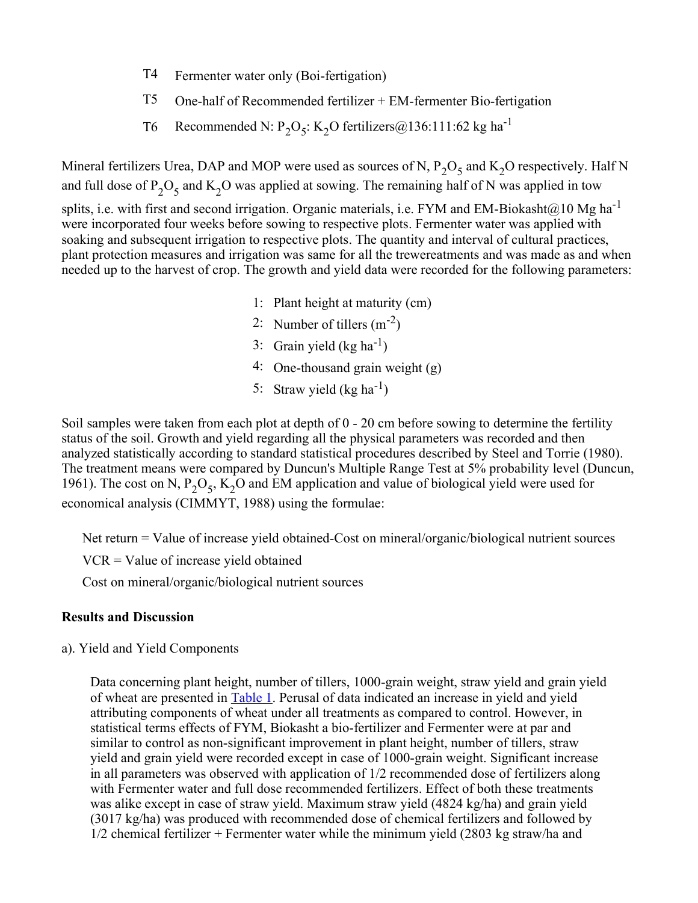- T4 Fermenter water only (Boi-fertigation)
- $T5$  One-half of Recommended fertilizer + EM-fermenter Bio-fertigation
- T6 Recommended N:  $P_2O_5$ : K<sub>2</sub>O fertilizers@136:111:62 kg ha<sup>-1</sup>

Mineral fertilizers Urea, DAP and MOP were used as sources of N,  $P_2O_5$  and  $K_2O$  respectively. Half N and full dose of P<sub>2</sub>O<sub>5</sub> and K<sub>2</sub>O was applied at sowing. The remaining half of N was applied in tow

splits, i.e. with first and second irrigation. Organic materials, i.e. FYM and EM-Biokasht@10 Mg ha<sup>-1</sup> were incorporated four weeks before sowing to respective plots. Fermenter water was applied with soaking and subsequent irrigation to respective plots. The quantity and interval of cultural practices, plant protection measures and irrigation was same for all the trewereatments and was made as and when needed up to the harvest of crop. The growth and yield data were recorded for the following parameters:

- 1: Plant height at maturity (cm)
- 2: Number of tillers  $(m^{-2})$
- 3: Grain yield  $(\text{kg ha}^{-1})$
- 4: One-thousand grain weight (g)
- 5: Straw yield  $(\text{kg ha}^{-1})$

Soil samples were taken from each plot at depth of 0 - 20 cm before sowing to determine the fertility status of the soil. Growth and yield regarding all the physical parameters was recorded and then analyzed statistically according to standard statistical procedures described by Steel and Torrie (1980). The treatment means were compared by Duncun's Multiple Range Test at 5% probability level (Duncun, 1961). The cost on N,  $P_2O_5$ ,  $K_2O$  and EM application and value of biological yield were used for economical analysis (CIMMYT, 1988) using the formulae:

Net return  $=$  Value of increase yield obtained-Cost on mineral/organic/biological nutrient sources

VCR = Value of increase yield obtained

Cost on mineral/organic/biological nutrient sources

#### **Results and Discussion**

a). Yield and Yield Components

Data concerning plant height, number of tillers, 1000-grain weight, straw yield and grain yield of wheat are presented in Table 1. Perusal of data indicated an increase in yield and yield attributing components of wheat under all treatments as compared to control. However, in statistical terms effects of FYM, Biokasht a bio-fertilizer and Fermenter were at par and similar to control as non-significant improvement in plant height, number of tillers, straw yield and grain yield were recorded except in case of 1000-grain weight. Significant increase in all parameters was observed with application of 1/2 recommended dose of fertilizers along with Fermenter water and full dose recommended fertilizers. Effect of both these treatments was alike except in case of straw yield. Maximum straw yield (4824 kg/ha) and grain yield (3017 kg/ha) was produced with recommended dose of chemical fertilizers and followed by 1/2 chemical fertilizer + Fermenter water while the minimum yield (2803 kg straw/ha and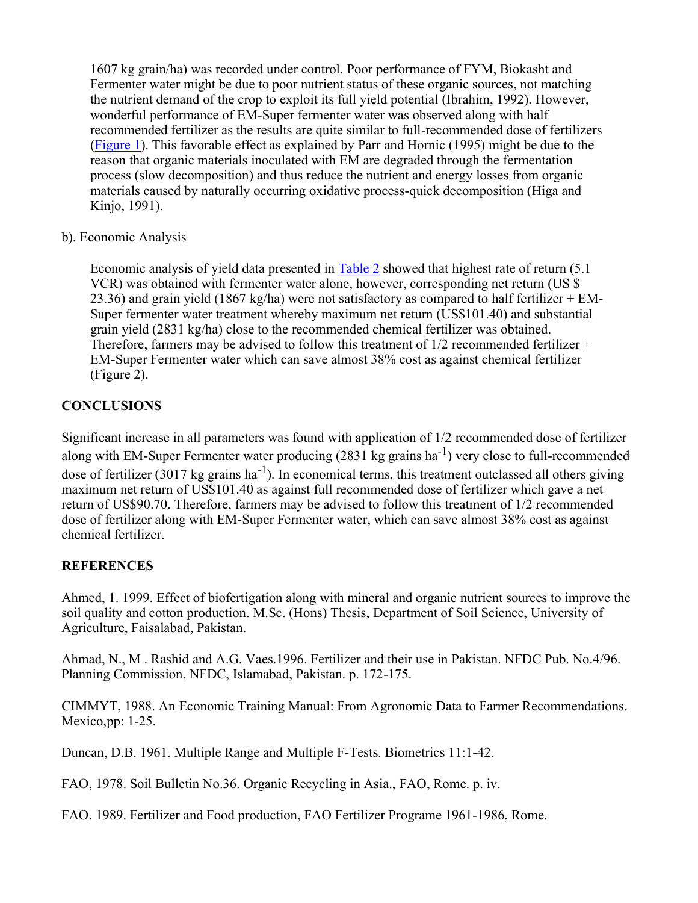1607 kg grain/ha) was recorded under control. Poor performance of FYM, Biokasht and Fermenter water might be due to poor nutrient status of these organic sources, not matching the nutrient demand of the crop to exploit its full yield potential (Ibrahim, 1992). However, wonderful performance of EM-Super fermenter water was observed along with half recommended fertilizer as the results are quite similar to full-recommended dose of fertilizers (Figure 1). This favorable effect as explained by Parr and Hornic (1995) might be due to the reason that organic materials inoculated with EM are degraded through the fermentation process (slow decomposition) and thus reduce the nutrient and energy losses from organic materials caused by naturally occurring oxidative process-quick decomposition (Higa and Kinjo, 1991).

## b). Economic Analysis

Economic analysis of yield data presented in Table 2 showed that highest rate of return (5.1) VCR) was obtained with fermenter water alone, however, corresponding net return (US \$ 23.36) and grain yield (1867 kg/ha) were not satisfactory as compared to half fertilizer  $+$  EM-Super fermenter water treatment whereby maximum net return (US\$101.40) and substantial grain yield (2831 kg/ha) close to the recommended chemical fertilizer was obtained. Therefore, farmers may be advised to follow this treatment of 1/2 recommended fertilizer + EM-Super Fermenter water which can save almost 38% cost as against chemical fertilizer (Figure 2).

# **CONCLUSIONS**

Significant increase in all parameters was found with application of 1/2 recommended dose of fertilizer along with EM-Super Fermenter water producing  $(2831 \text{ kg} \text{ grains ha}^{-1})$  very close to full-recommended dose of fertilizer (3017 kg grains ha<sup>-1</sup>). In economical terms, this treatment outclassed all others giving maximum net return of US\$101.40 as against full recommended dose of fertilizer which gave a net return of US\$90.70. Therefore, farmers may be advised to follow this treatment of 1/2 recommended dose of fertilizer along with EM-Super Fermenter water, which can save almost 38% cost as against chemical fertilizer.

# **REFERENCES**

Ahmed, 1. 1999. Effect of biofertigation along with mineral and organic nutrient sources to improve the soil quality and cotton production. M.Sc. (Hons) Thesis, Department of Soil Science, University of Agriculture, Faisalabad, Pakistan.

Ahmad, N., M . Rashid and A.G. Vaes.1996. Fertilizer and their use in Pakistan. NFDC Pub. No.4/96. Planning Commission, NFDC, Islamabad, Pakistan. p. 172-175.

CIMMYT, 1988. An Economic Training Manual: From Agronomic Data to Farmer Recommendations. Mexico, pp: 1-25.

Duncan, D.B. 1961. Multiple Range and Multiple F-Tests. Biometrics 11:1-42.

FAO, 1978. Soil Bulletin No.36. Organic Recycling in Asia., FAO, Rome. p. iv.

FAO, 1989. Fertilizer and Food production, FAO Fertilizer Programe 1961-1986, Rome.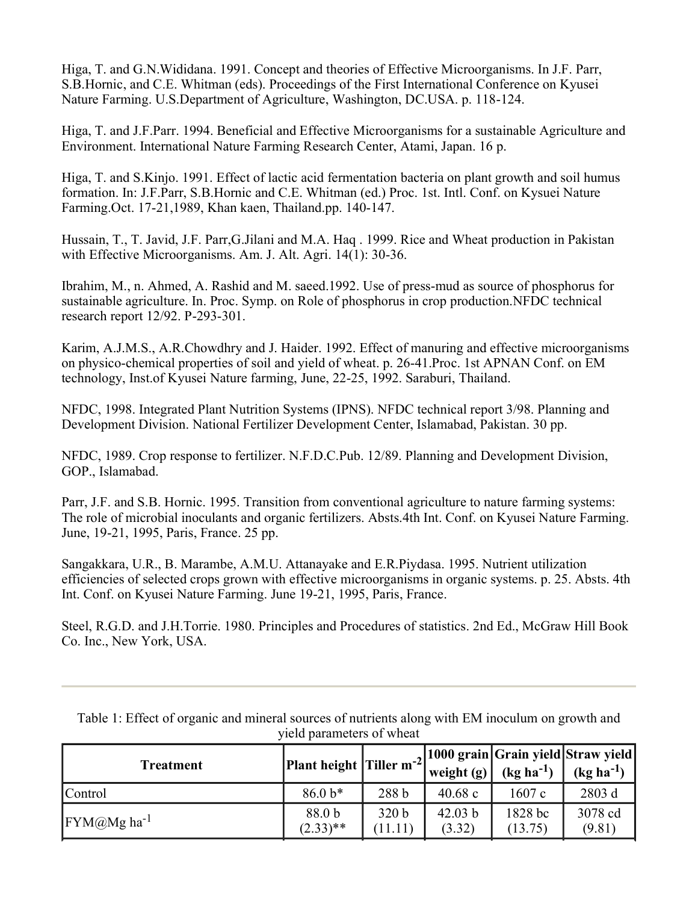Higa, T. and G.N.Wididana. 1991. Concept and theories of Effective Microorganisms. In J.F. Parr, S.B.Hornic, and C.E. Whitman (eds). Proceedings of the First International Conference on Kyusei Nature Farming. U.S.Department of Agriculture, Washington, DC.USA. p. 118-124.

Higa, T. and J.F.Parr. 1994. Beneficial and Effective Microorganisms for a sustainable Agriculture and Environment. International Nature Farming Research Center, Atami, Japan. 16 p.

Higa, T. and S.Kinjo. 1991. Effect of lactic acid fermentation bacteria on plant growth and soil humus formation. In: J.F.Parr, S.B.Hornic and C.E. Whitman (ed.) Proc. 1st. Intl. Conf. on Kysuei Nature Farming.Oct. 17-21,1989, Khan kaen, Thailand.pp. 140-147.

Hussain, T., T. Javid, J.F. Parr,G.Jilani and M.A. Haq . 1999. Rice and Wheat production in Pakistan with Effective Microorganisms. Am. J. Alt. Agri.  $14(1)$ : 30-36.

Ibrahim, M., n. Ahmed, A. Rashid and M. saeed.1992. Use of press-mud as source of phosphorus for sustainable agriculture. In. Proc. Symp. on Role of phosphorus in crop production.NFDC technical research report 12/92. P-293-301.

Karim, A.J.M.S., A.R.Chowdhry and J. Haider. 1992. Effect of manuring and effective microorganisms on physico-chemical properties of soil and yield of wheat. p. 26-41.Proc. 1st APNAN Conf. on EM technology, Inst.of Kyusei Nature farming, June, 22-25, 1992. Saraburi, Thailand.

NFDC, 1998. Integrated Plant Nutrition Systems (IPNS). NFDC technical report 3/98. Planning and Development Division. National Fertilizer Development Center, Islamabad, Pakistan. 30 pp.

NFDC, 1989. Crop response to fertilizer. N.F.D.C.Pub. 12/89. Planning and Development Division, GOP., Islamabad.

Parr, J.F. and S.B. Hornic. 1995. Transition from conventional agriculture to nature farming systems: The role of microbial inoculants and organic fertilizers. Absts.4th Int. Conf. on Kyusei Nature Farming. June, 1921, 1995, Paris, France. 25 pp.

Sangakkara, U.R., B. Marambe, A.M.U. Attanayake and E.R.Piydasa. 1995. Nutrient utilization efficiencies of selected crops grown with effective microorganisms in organic systems. p. 25. Absts. 4th Int. Conf. on Kyusei Nature Farming. June 1921, 1995, Paris, France.

Steel, R.G.D. and J.H.Torrie. 1980. Principles and Procedures of statistics. 2nd Ed., McGraw Hill Book Co. Inc., New York, USA.

| <b>Treatment</b>   | Plant height $ T $ iller m <sup>-2</sup> |                             | weight $(g)$ <sup><math>\prime</math></sup> | $(kg ha^{-1})$     | , 1000 grain Grain yield Straw yield<br>$(kg ha^{-1})$ |
|--------------------|------------------------------------------|-----------------------------|---------------------------------------------|--------------------|--------------------------------------------------------|
| Control            | $86.0 b*$                                | 288 b                       | 40.68c                                      | 1607c              | 2803 d                                                 |
| $FYM(a)Mg ha^{-1}$ | 88.0 b<br>$(2.33)$ **                    | 320 <sub>b</sub><br>(11.11) | 42.03 b<br>(3.32)                           | 1828 bc<br>(13.75) | 3078 cd<br>(9.81)                                      |

Table 1: Effect of organic and mineral sources of nutrients along with EM inoculum on growth and yield parameters of wheat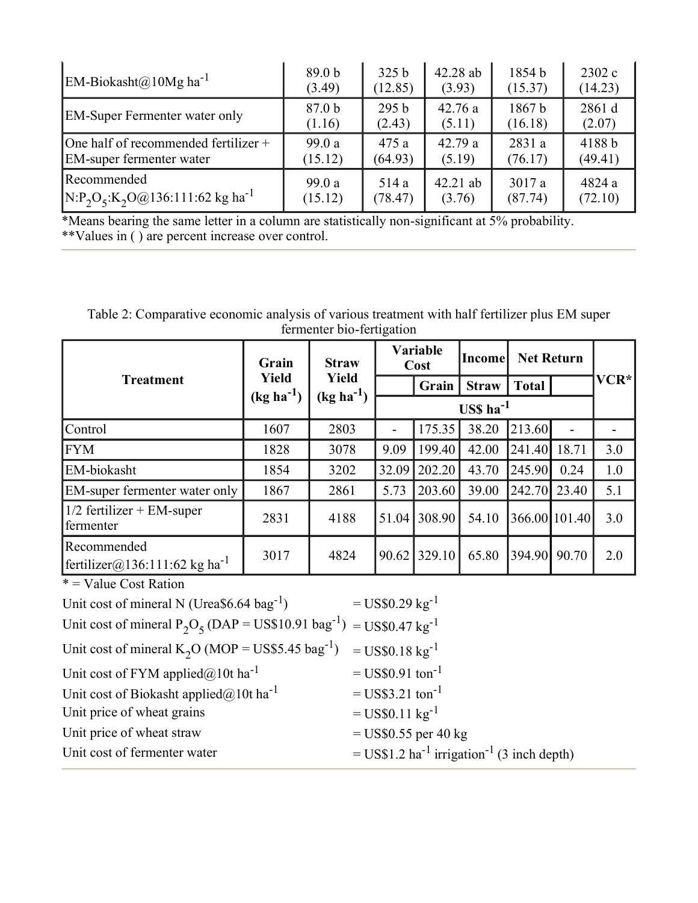| EM-Biokasht@10Mg ha <sup>-1</sup>              | 89.0 <sub>b</sub> | 325 <sub>b</sub> | 42.28 ab   | 1854 b            | 2302 c  |
|------------------------------------------------|-------------------|------------------|------------|-------------------|---------|
|                                                | (3.49)            | (12.85)          | (3.93)     | (15.37)           | (14.23) |
| <b>EM-Super Fermenter water only</b>           | 87.0 <sub>b</sub> | 295 <sub>b</sub> | 42.76a     | 1867 <sub>b</sub> | 2861 d  |
|                                                | (1.16)            | (2.43)           | (5.11)     | (16.18)           | (2.07)  |
| One half of recommended fertilizer $+$         | 99.0a             | 475 a            | 42.79a     | 2831 a            | 4188b   |
| <b>EM-super fermenter water</b>                | (15.12)           | (64.93)          | (5.19)     | (76.17)           | (49.41) |
| Recommended                                    | 99.0 a            | 514 a            | $42.21$ ab | 3017a             | 4824 a  |
| $N:P_2O_5:K_2O@136:111:62$ kg ha <sup>-1</sup> | (15.12)           | (78.47)          | (3.76)     | (87.74)           | (72.10) |

\*Means bearing the same letter in a column are statistically non-significant at 5% probability. \*\*Values in ( ) are percent increase over control.

Table 2: Comparative economic analysis of various treatment with half fertilizer plus EM super fermenter bio-fertigation

| <b>Treatment</b>                                         | Grain<br>Yield<br>$(kg ha-1)$ | <b>Straw</b><br>Yield<br>$(kg ha-1)$ | Variable<br>Cost |        | Income       |               | <b>Net Return</b>        |      |
|----------------------------------------------------------|-------------------------------|--------------------------------------|------------------|--------|--------------|---------------|--------------------------|------|
|                                                          |                               |                                      |                  | Grain  | <b>Straw</b> | <b>Total</b>  |                          | VCR* |
|                                                          |                               |                                      |                  |        |              |               |                          |      |
| Control                                                  | 1607                          | 2803                                 | -                | 175.35 | 38.20        | 213.60        | $\overline{\phantom{a}}$ |      |
| <b>FYM</b>                                               | 1828                          | 3078                                 | 9.09             | 199.40 | 42.00        | 241.40        | 18.71                    | 3.0  |
| EM-biokasht                                              | 1854                          | 3202                                 | 32.09            | 202.20 | 43.70        | 245.90        | 0.24                     | 1.0  |
| EM-super fermenter water only                            | 1867                          | 2861                                 | 5.73             | 203.60 | 39.00        | 242.70        | 23.40                    | 5.1  |
| $1/2$ fertilizer + EM-super<br>fermenter                 | 2831                          | 4188                                 | 51.04            | 308.90 | 54.10        | 366.00 101.40 |                          | 3.0  |
| Recommended<br>fertilizer@136:111:62 kg ha <sup>-1</sup> | 3017                          | 4824                                 | 90.62            | 329.10 | 65.80        | 394.90        | 90.70                    | 2.0  |

 $*$  = Value Cost Ration

| Unit cost of mineral N (Urea $$6.64$ bag <sup>-1</sup> )                                              | $=$ US\$0.29 kg <sup>-1</sup>                                      |
|-------------------------------------------------------------------------------------------------------|--------------------------------------------------------------------|
| Unit cost of mineral $P_2O_5$ (DAP = US\$10.91 bag <sup>-1</sup> ) = US\$0.47 kg <sup>-1</sup>        |                                                                    |
| Unit cost of mineral K <sub>2</sub> O (MOP = US\$5.45 bag <sup>-1</sup> ) = US\$0.18 kg <sup>-1</sup> |                                                                    |
| Unit cost of FYM applied $@10t$ ha <sup>-1</sup>                                                      | $=$ US\$0.91 ton <sup>-1</sup>                                     |
| Unit cost of Biokasht applied@10t ha <sup>-1</sup>                                                    | $=$ US\$3.21 ton <sup>-1</sup>                                     |
| Unit price of wheat grains                                                                            | $=$ US\$0.11 kg <sup>-1</sup>                                      |
| Unit price of wheat straw                                                                             | $=$ US\$0.55 per 40 kg                                             |
| Unit cost of fermenter water                                                                          | = US\$1.2 ha <sup>-1</sup> irrigation <sup>-1</sup> (3 inch depth) |